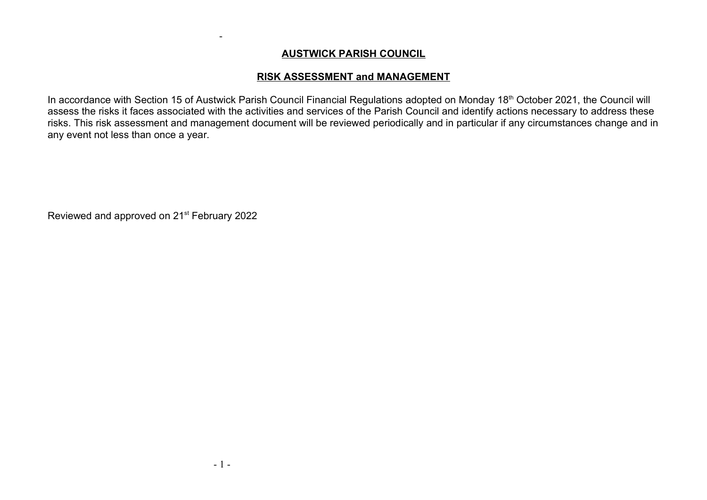## AUSTWICK PARISH COUNCIL

## RISK ASSESSMENT and MANAGEMENT

In accordance with Section 15 of Austwick Parish Council Financial Regulations adopted on Monday 18<sup>th</sup> October 2021, the Council will assess the risks it faces associated with the activities and services of the Parish Council and identify actions necessary to address these risks. This risk assessment and management document will be reviewed periodically and in particular if any circumstances change and in any event not less than once a year.

Reviewed and approved on 21<sup>st</sup> February 2022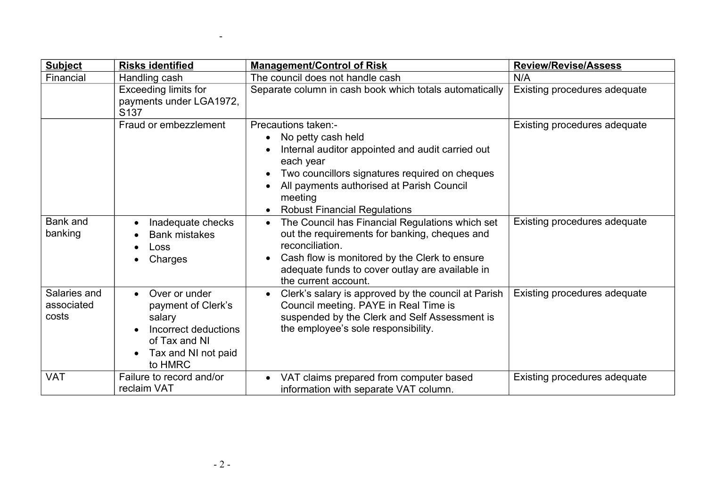| <b>Subject</b>                      | <b>Risks identified</b>                                                                                                                            | <b>Management/Control of Risk</b>                                                                                                                                                                                                                                                     | <b>Review/Revise/Assess</b>  |
|-------------------------------------|----------------------------------------------------------------------------------------------------------------------------------------------------|---------------------------------------------------------------------------------------------------------------------------------------------------------------------------------------------------------------------------------------------------------------------------------------|------------------------------|
| Financial                           | Handling cash                                                                                                                                      | The council does not handle cash                                                                                                                                                                                                                                                      | N/A                          |
|                                     | <b>Exceeding limits for</b><br>payments under LGA1972,<br>S <sub>137</sub>                                                                         | Separate column in cash book which totals automatically                                                                                                                                                                                                                               | Existing procedures adequate |
|                                     | Fraud or embezzlement                                                                                                                              | Precautions taken:-<br>No petty cash held<br>Internal auditor appointed and audit carried out<br>each year<br>Two councillors signatures required on cheques<br>$\bullet$<br>All payments authorised at Parish Council<br>meeting<br><b>Robust Financial Regulations</b><br>$\bullet$ | Existing procedures adequate |
| <b>Bank</b> and<br>banking          | Inadequate checks<br>$\bullet$<br><b>Bank mistakes</b><br>Loss<br>Charges                                                                          | The Council has Financial Regulations which set<br>$\bullet$<br>out the requirements for banking, cheques and<br>reconciliation.<br>Cash flow is monitored by the Clerk to ensure<br>adequate funds to cover outlay are available in<br>the current account.                          | Existing procedures adequate |
| Salaries and<br>associated<br>costs | Over or under<br>$\bullet$<br>payment of Clerk's<br>salary<br>Incorrect deductions<br>of Tax and NI<br>Tax and NI not paid<br>$\bullet$<br>to HMRC | Clerk's salary is approved by the council at Parish<br>$\bullet$<br>Council meeting. PAYE in Real Time is<br>suspended by the Clerk and Self Assessment is<br>the employee's sole responsibility.                                                                                     | Existing procedures adequate |
| <b>VAT</b>                          | Failure to record and/or<br>reclaim VAT                                                                                                            | VAT claims prepared from computer based<br>information with separate VAT column.                                                                                                                                                                                                      | Existing procedures adequate |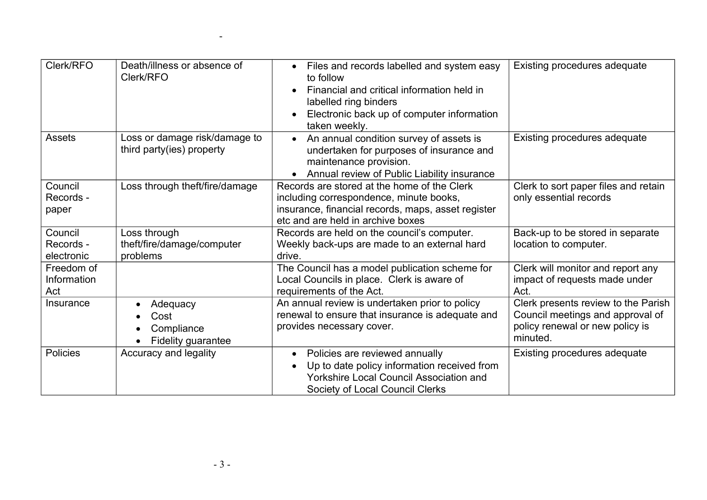| Clerk/RFO                          | Death/illness or absence of<br>Clerk/RFO                          | Files and records labelled and system easy<br>to follow<br>Financial and critical information held in<br>labelled ring binders<br>Electronic back up of computer information<br>taken weekly. | Existing procedures adequate                                                                                           |
|------------------------------------|-------------------------------------------------------------------|-----------------------------------------------------------------------------------------------------------------------------------------------------------------------------------------------|------------------------------------------------------------------------------------------------------------------------|
| Assets                             | Loss or damage risk/damage to<br>third party(ies) property        | • An annual condition survey of assets is<br>undertaken for purposes of insurance and<br>maintenance provision.<br>Annual review of Public Liability insurance                                | Existing procedures adequate                                                                                           |
| Council<br>Records -<br>paper      | Loss through theft/fire/damage                                    | Records are stored at the home of the Clerk<br>including correspondence, minute books,<br>insurance, financial records, maps, asset register<br>etc and are held in archive boxes             | Clerk to sort paper files and retain<br>only essential records                                                         |
| Council<br>Records -<br>electronic | Loss through<br>theft/fire/damage/computer<br>problems            | Records are held on the council's computer.<br>Weekly back-ups are made to an external hard<br>drive.                                                                                         | Back-up to be stored in separate<br>location to computer.                                                              |
| Freedom of<br>Information<br>Act   |                                                                   | The Council has a model publication scheme for<br>Local Councils in place. Clerk is aware of<br>requirements of the Act.                                                                      | Clerk will monitor and report any<br>impact of requests made under<br>Act.                                             |
| Insurance                          | Adequacy<br>$\bullet$<br>Cost<br>Compliance<br>Fidelity guarantee | An annual review is undertaken prior to policy<br>renewal to ensure that insurance is adequate and<br>provides necessary cover.                                                               | Clerk presents review to the Parish<br>Council meetings and approval of<br>policy renewal or new policy is<br>minuted. |
| Policies                           | Accuracy and legality                                             | Policies are reviewed annually<br>$\bullet$<br>Up to date policy information received from<br><b>Yorkshire Local Council Association and</b><br>Society of Local Council Clerks               | Existing procedures adequate                                                                                           |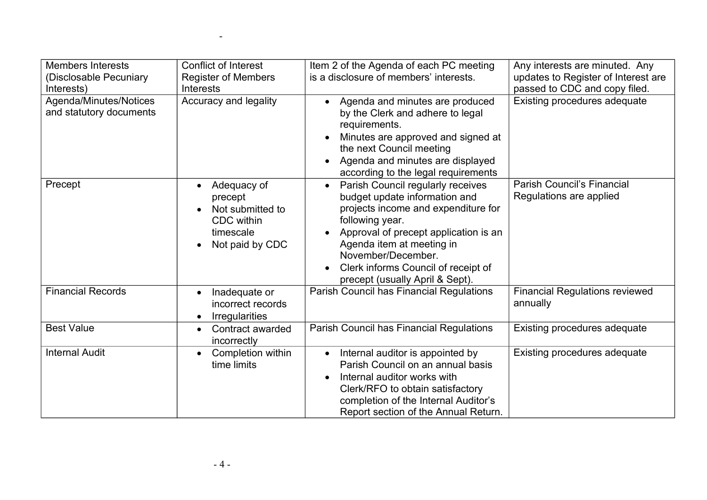| <b>Members Interests</b><br>(Disclosable Pecuniary<br>Interests) | <b>Conflict of Interest</b><br><b>Register of Members</b><br><b>Interests</b>                         | Item 2 of the Agenda of each PC meeting<br>is a disclosure of members' interests.                                                                                                                                                                                                                               | Any interests are minuted. Any<br>updates to Register of Interest are<br>passed to CDC and copy filed. |
|------------------------------------------------------------------|-------------------------------------------------------------------------------------------------------|-----------------------------------------------------------------------------------------------------------------------------------------------------------------------------------------------------------------------------------------------------------------------------------------------------------------|--------------------------------------------------------------------------------------------------------|
| Agenda/Minutes/Notices<br>and statutory documents                | Accuracy and legality                                                                                 | Agenda and minutes are produced<br>by the Clerk and adhere to legal<br>requirements.<br>Minutes are approved and signed at<br>the next Council meeting<br>Agenda and minutes are displayed<br>according to the legal requirements                                                                               | Existing procedures adequate                                                                           |
| Precept                                                          | Adequacy of<br>$\bullet$<br>precept<br>Not submitted to<br>CDC within<br>timescale<br>Not paid by CDC | Parish Council regularly receives<br>$\bullet$<br>budget update information and<br>projects income and expenditure for<br>following year.<br>Approval of precept application is an<br>Agenda item at meeting in<br>November/December.<br>Clerk informs Council of receipt of<br>precept (usually April & Sept). | <b>Parish Council's Financial</b><br>Regulations are applied                                           |
| <b>Financial Records</b>                                         | Inadequate or<br>$\bullet$<br>incorrect records<br>Irregularities<br>$\bullet$                        | Parish Council has Financial Regulations                                                                                                                                                                                                                                                                        | <b>Financial Regulations reviewed</b><br>annually                                                      |
| <b>Best Value</b>                                                | Contract awarded<br>$\bullet$<br>incorrectly                                                          | Parish Council has Financial Regulations                                                                                                                                                                                                                                                                        | Existing procedures adequate                                                                           |
| <b>Internal Audit</b>                                            | Completion within<br>$\bullet$<br>time limits                                                         | Internal auditor is appointed by<br>$\bullet$<br>Parish Council on an annual basis<br>Internal auditor works with<br>$\bullet$<br>Clerk/RFO to obtain satisfactory<br>completion of the Internal Auditor's<br>Report section of the Annual Return.                                                              | Existing procedures adequate                                                                           |